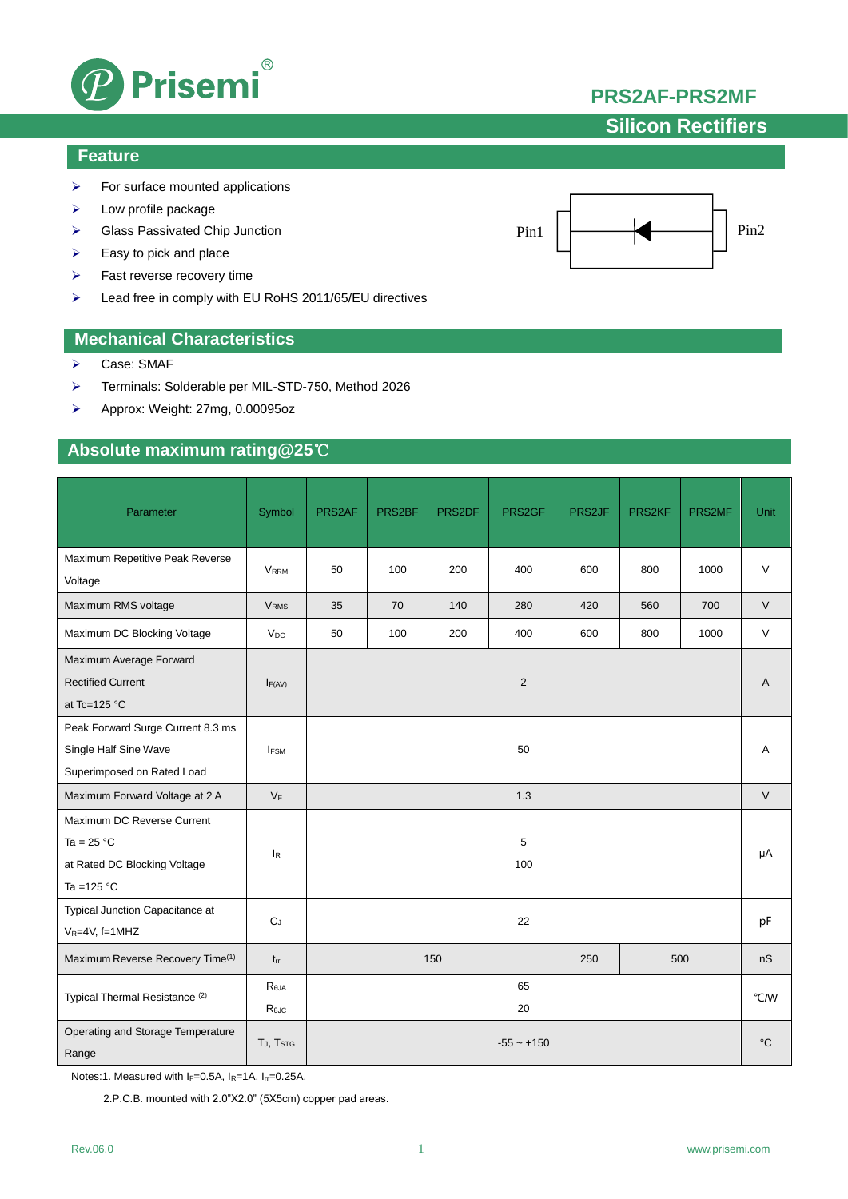

# **Silicon Rectifiers**

### **Feature**

- $\triangleright$  For surface mounted applications
- $\triangleright$  Low profile package
- ▶ Glass Passivated Chip Junction
- $\triangleright$  Easy to pick and place
- $\triangleright$  Fast reverse recovery time
- Lead free in comply with EU RoHS 2011/65/EU directives

### **Mechanical Characteristics**

- Case: SMAF
- Terminals: Solderable per MIL-STD-750, Method 2026
- Approx: Weight: 27mg, 0.00095oz

## **Absolute maximum rating@25**℃

| Parameter                                                                                   | Symbol                  | PRS2AF            | PRS2BF | PRS2DF | PRS2GF     | PRS2JF | PRS2KF      | PRS2MF | Unit   |
|---------------------------------------------------------------------------------------------|-------------------------|-------------------|--------|--------|------------|--------|-------------|--------|--------|
| Maximum Repetitive Peak Reverse<br>Voltage                                                  | <b>V</b> <sub>RRM</sub> | 50                | 100    | 200    | 400        | 600    | 800         | 1000   | $\vee$ |
| Maximum RMS voltage                                                                         | <b>V<sub>RMS</sub></b>  | 35                | 70     | 140    | 280        | 420    | 560         | 700    | $\vee$ |
| Maximum DC Blocking Voltage                                                                 | $V_{DC}$                | 50                | 100    | 200    | 400        | 600    | 800         | 1000   | $\vee$ |
| Maximum Average Forward<br><b>Rectified Current</b><br>at Tc=125 $^{\circ}$ C               | F(AV)                   |                   |        |        | $\sqrt{2}$ |        |             |        | A      |
| Peak Forward Surge Current 8.3 ms<br>Single Half Sine Wave<br>Superimposed on Rated Load    | <b>IFSM</b>             | 50                |        |        |            |        |             | Α      |        |
| Maximum Forward Voltage at 2 A                                                              | $V_F$                   | 1.3               |        |        |            |        | $\vee$      |        |        |
| Maximum DC Reverse Current<br>Ta = $25 °C$<br>at Rated DC Blocking Voltage<br>Ta = $125 °C$ | $I_R$                   | 5<br>100          |        |        |            |        |             | μA     |        |
| Typical Junction Capacitance at<br>$V_R = 4V$ , f=1MHZ                                      | $C_J$                   | 22                |        |        |            |        | pF          |        |        |
| Maximum Reverse Recovery Time <sup>(1)</sup>                                                | $t_{rr}$                | 150<br>250<br>500 |        |        |            |        | nS          |        |        |
| Typical Thermal Resistance <sup>(2)</sup>                                                   | Reja<br>$R_{\theta$ JC  | 65<br>20          |        |        |            |        | °C/W        |        |        |
| Operating and Storage Temperature<br>Range                                                  | TJ, T <sub>STG</sub>    | $-55 - +150$      |        |        |            |        | $^{\circ}C$ |        |        |

Notes:1. Measured with IF=0.5A, IR=1A, Irr=0.25A.

2.P.C.B. mounted with 2.0"X2.0" (5X5cm) copper pad areas.

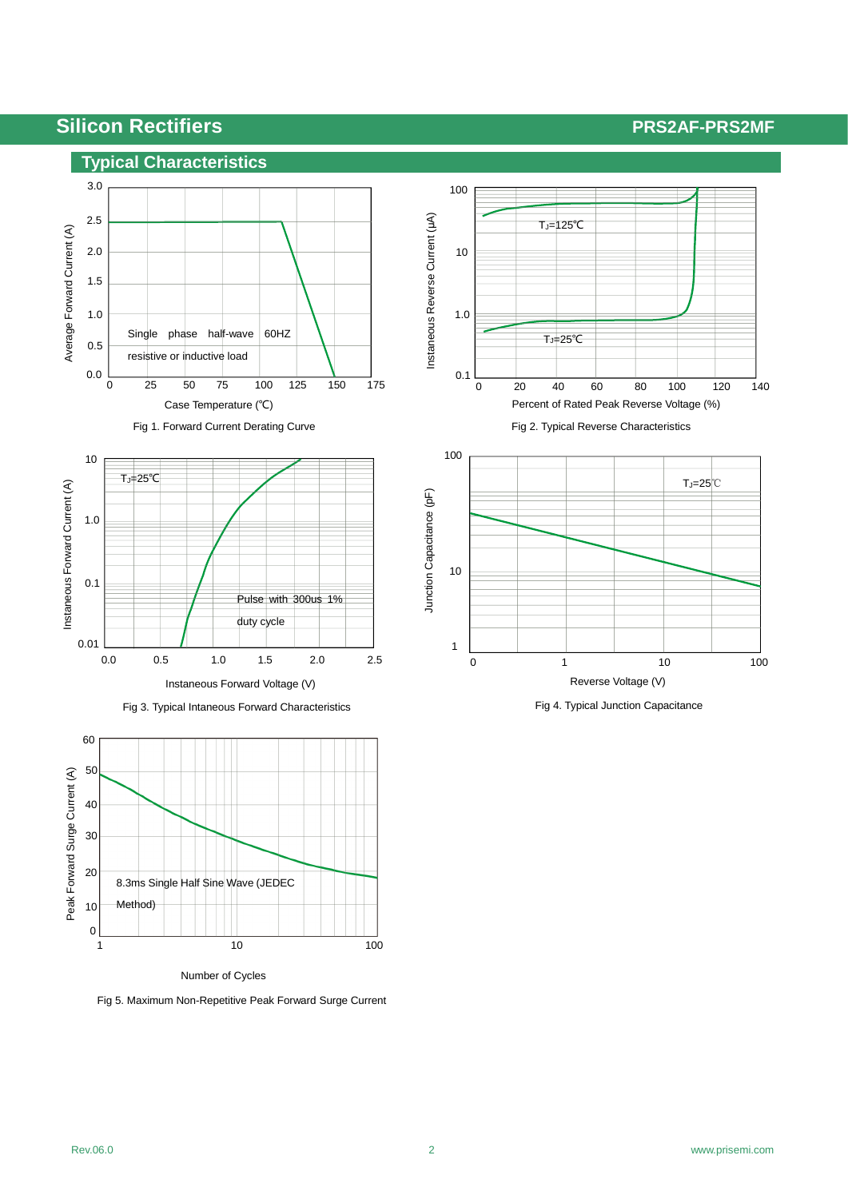## **Silicon Rectifiers** <br>**PRS2AF-PRS2MF**



Fig 1. Forward Current Derating Curve





Fig 5. Maximum Non-Repetitive Peak Forward Surge Current



Fig 2. Typical Reverse Characteristics

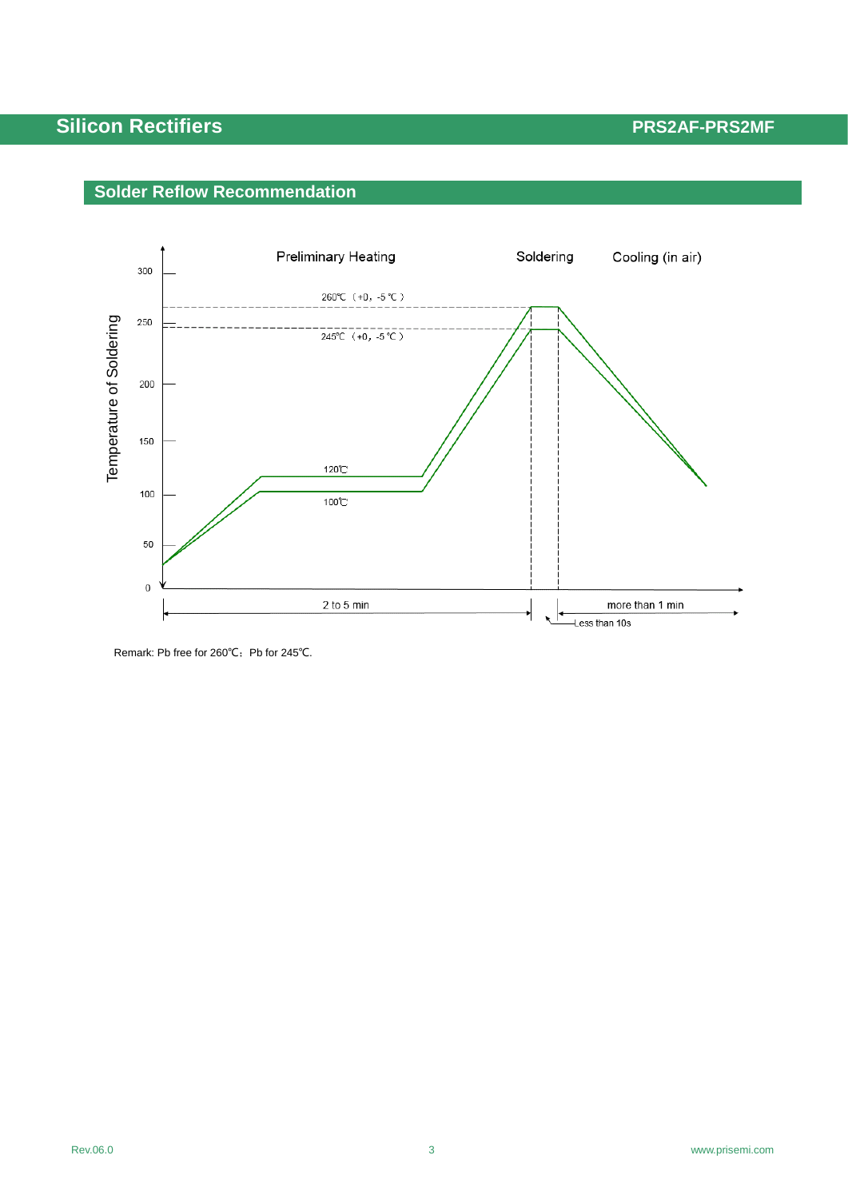# **Silicon Rectifiers** <br>**PRS2AF-PRS2MF**





Remark: Pb free for 260℃; Pb for 245℃.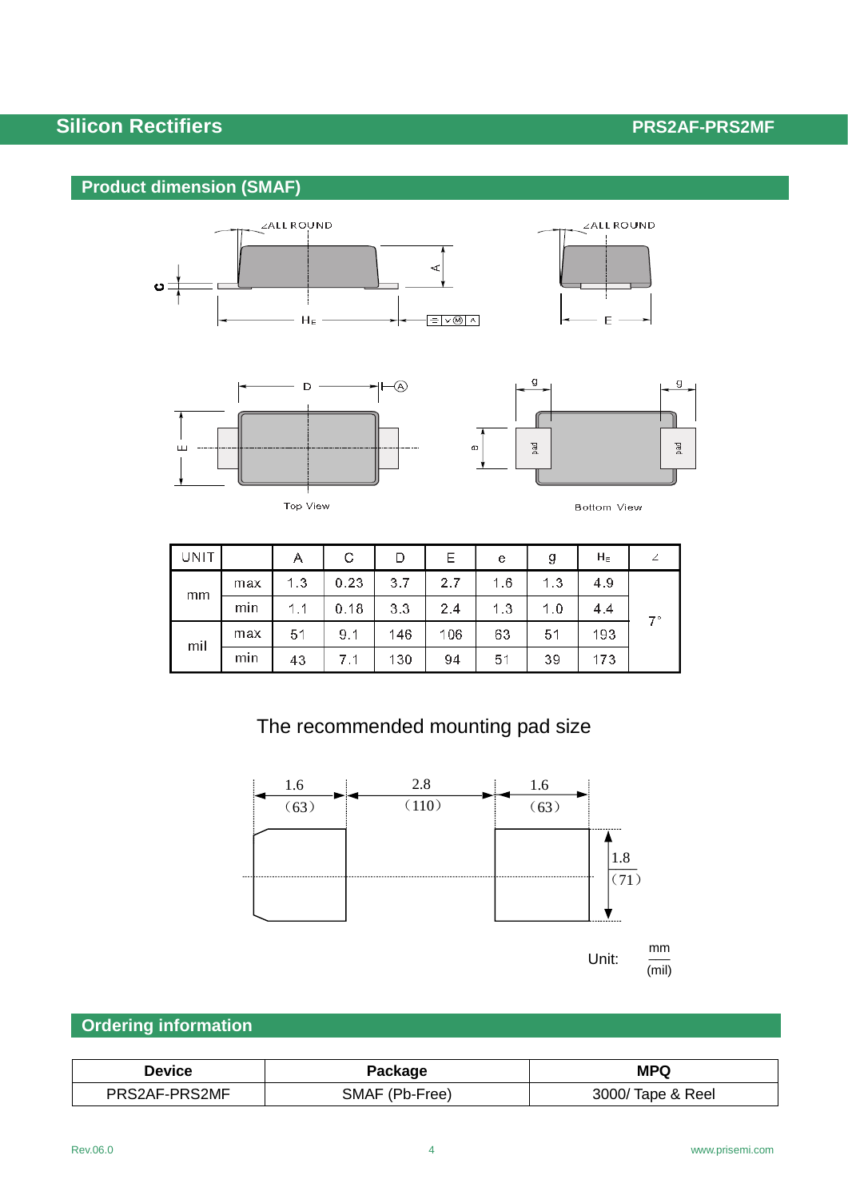# **Silicon Rectifiers** *PRS2AF-PRS2MF*

## **Product dimension (SMAF)**







Top View



| UNIT |     | Α   | С    | D   | Ε   | e   | g   | $H_E$ |    |
|------|-----|-----|------|-----|-----|-----|-----|-------|----|
| mm   | max | 1.3 | 0.23 | 3.7 | 2.7 | 1.6 | 1.3 | 4.9   | ァー |
|      | min | 1.1 | 0.18 | 3.3 | 2.4 | 1.3 | 1.0 | 4.4   |    |
| mil  | max | 51  | 9.1  | 146 | 106 | 63  | 51  | 193   |    |
|      | min | 43  | 7.1  | 130 | 94  | 51  | 39  | 173   |    |

# The recommended mounting pad size



## **Ordering information**

| <b>Device</b> | Package        | <b>MPQ</b>        |
|---------------|----------------|-------------------|
| PRS2AF-PRS2MF | SMAF (Pb-Free) | 3000/ Tape & Reel |